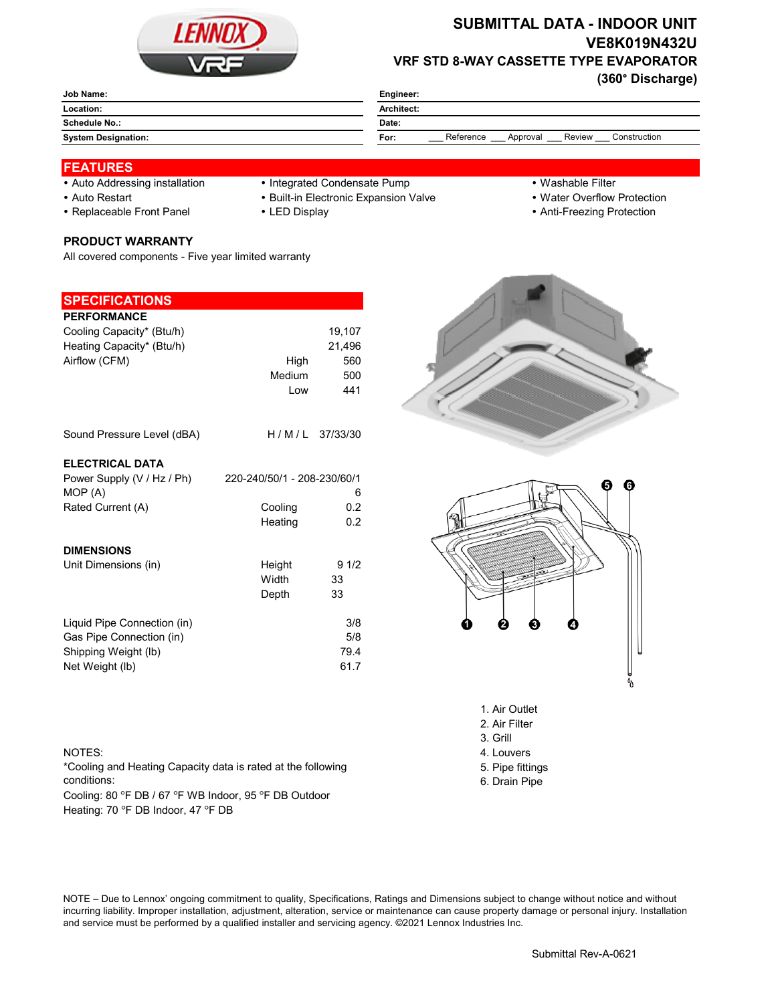

# **SUBMITTAL DATA - INDOOR UNIT VE8K019N432U VRF STD 8-WAY CASSETTE TYPE EVAPORATOR**

**(360° Discharge)**

| Engineer:                                               |  |  |
|---------------------------------------------------------|--|--|
| Architect:                                              |  |  |
| Date:                                                   |  |  |
| Review<br>Reference<br>Construction<br>For:<br>Approval |  |  |
|                                                         |  |  |

#### **FEATURES**

- 
- Auto Addressing installation Integrated Condensate Pump Washable Filter
- 
- 

- 
- Auto Restart **Built-in Electronic Expansion Valve Water Overflow Protection**
- Replaceable Front Panel LED Display Anti-Freezing Protection

# **PRODUCT WARRANTY**

All covered components - Five year limited warranty

### **SPECIFICATIONS**

| <b>PERFORMANCE</b>          |                             |                |
|-----------------------------|-----------------------------|----------------|
| Cooling Capacity* (Btu/h)   |                             | 19,107         |
| Heating Capacity* (Btu/h)   |                             | 21,496         |
| Airflow (CFM)               | High                        | 560            |
|                             | Medium                      | 500            |
|                             | Low                         | 441            |
|                             |                             |                |
| Sound Pressure Level (dBA)  |                             | H/M/L 37/33/30 |
| <b>ELECTRICAL DATA</b>      |                             |                |
| Power Supply (V / Hz / Ph)  | 220-240/50/1 - 208-230/60/1 |                |
| MOP (A)                     |                             | 6              |
| Rated Current (A)           | Cooling                     | 0.2            |
|                             | Heating                     | 0.2            |
|                             |                             |                |
| <b>DIMENSIONS</b>           |                             |                |
| Unit Dimensions (in)        | Height                      | 91/2           |
|                             | Width                       | 33             |
|                             | Depth                       | 33             |
|                             |                             |                |
| Liquid Pipe Connection (in) |                             | 3/8            |
| Gas Pipe Connection (in)    |                             | 5/8            |
| Shipping Weight (lb)        |                             | 79.4           |
| Net Weight (lb)             |                             | 61.7           |
|                             |                             |                |





- 1. Air Outlet
- 2. Air Filter 3. Grill
- 
- 
- 5. Pipe fittings
- 6. Drain Pipe

#### NOTES: 4. Louvers

\*Cooling and Heating Capacity data is rated at the following conditions:

Cooling: 80 °F DB / 67 °F WB Indoor, 95 °F DB Outdoor Heating: 70 °F DB Indoor, 47 °F DB

NOTE – Due to Lennox' ongoing commitment to quality, Specifications, Ratings and Dimensions subject to change without notice and without incurring liability. Improper installation, adjustment, alteration, service or maintenance can cause property damage or personal injury. Installation and service must be performed by a qualified installer and servicing agency. ©2021 Lennox Industries Inc.